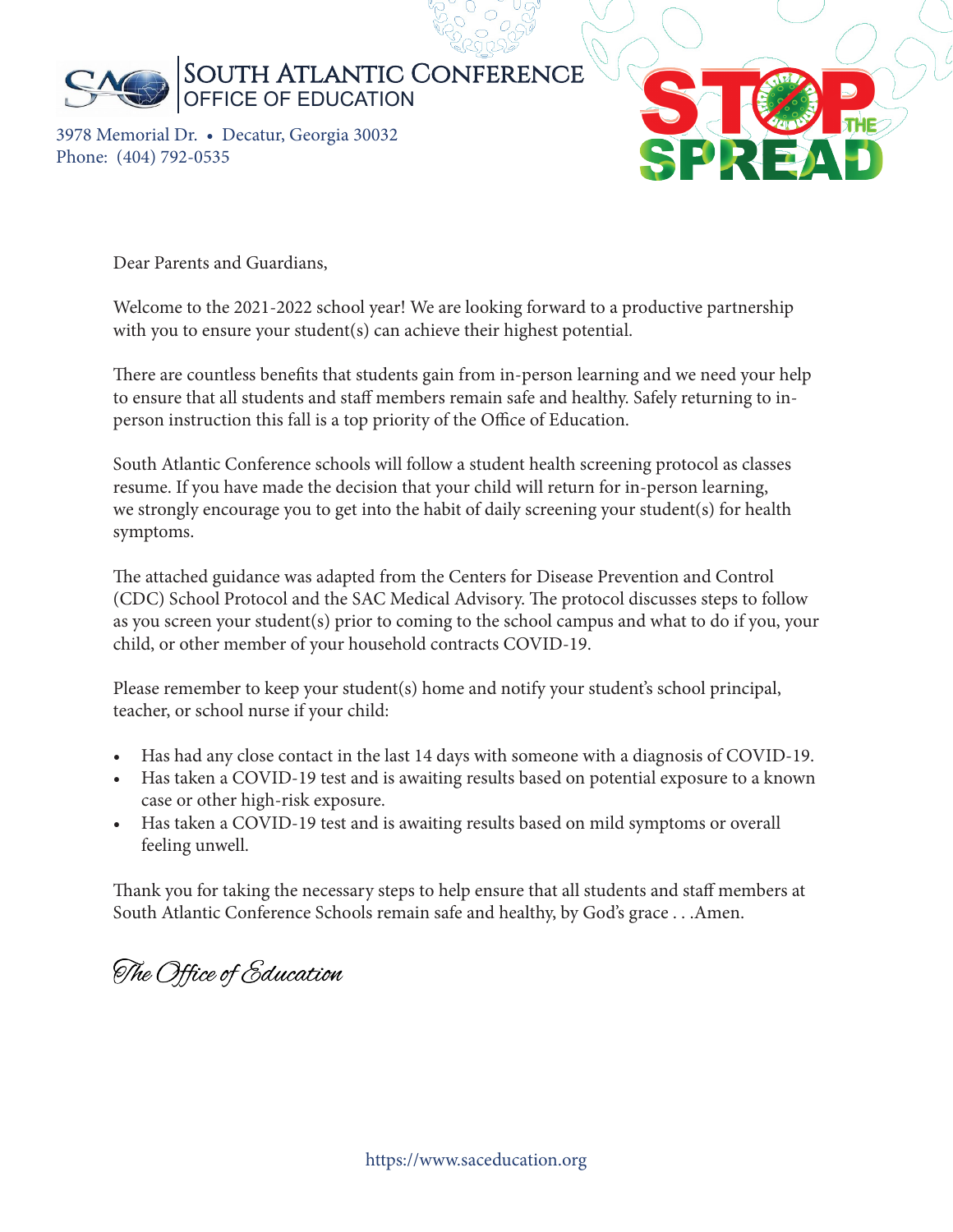

3978 Memorial Dr. • Decatur, Georgia 30032 Phone: (404) 792-0535



Dear Parents and Guardians,

Welcome to the 2021-2022 school year! We are looking forward to a productive partnership with you to ensure your student(s) can achieve their highest potential.

There are countless benefits that students gain from in-person learning and we need your help to ensure that all students and staff members remain safe and healthy. Safely returning to inperson instruction this fall is a top priority of the Office of Education.

South Atlantic Conference schools will follow a student health screening protocol as classes resume. If you have made the decision that your child will return for in-person learning, we strongly encourage you to get into the habit of daily screening your student(s) for health symptoms.

The attached guidance was adapted from the Centers for Disease Prevention and Control (CDC) School Protocol and the SAC Medical Advisory. The protocol discusses steps to follow as you screen your student(s) prior to coming to the school campus and what to do if you, your child, or other member of your household contracts COVID-19.

Please remember to keep your student(s) home and notify your student's school principal, teacher, or school nurse if your child:

- Has had any close contact in the last 14 days with someone with a diagnosis of COVID-19.
- Has taken a COVID-19 test and is awaiting results based on potential exposure to a known case or other high-risk exposure.
- Has taken a COVID-19 test and is awaiting results based on mild symptoms or overall feeling unwell.

Thank you for taking the necessary steps to help ensure that all students and staff members at South Atlantic Conference Schools remain safe and healthy, by God's grace . . .Amen.

The Office of Education